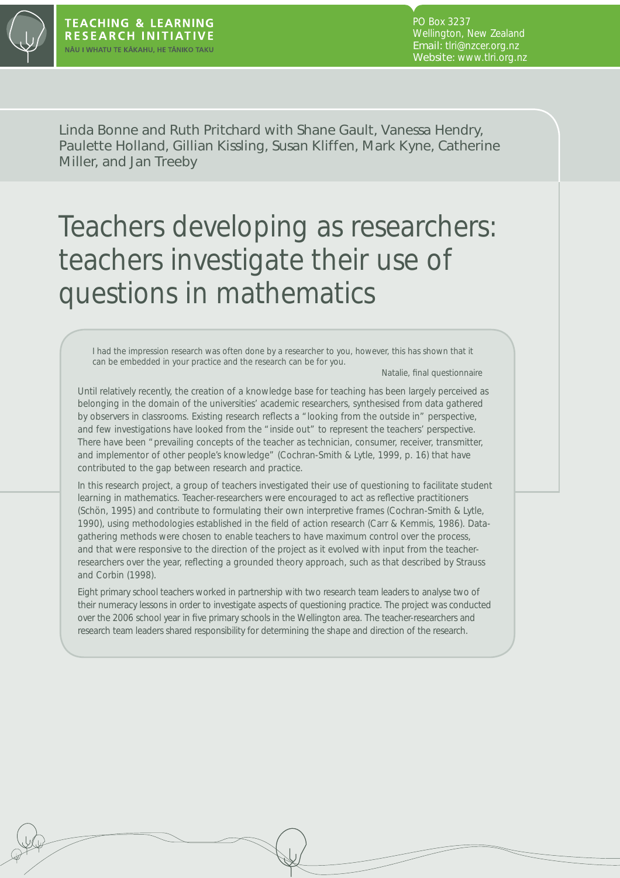

PO Box 3237 Wellington, New Zealand Email: tlri@nzcer.org.nz Website: www.tlri.org.nz

Linda Bonne and Ruth Pritchard with Shane Gault, Vanessa Hendry, Paulette Holland, Gillian Kissling, Susan Kliffen, Mark Kyne, Catherine Miller, and Jan Treeby

# Teachers developing as researchers: teachers investigate their use of questions in mathematics

*I* had the impression research was often done by a researcher to you, however, this has shown that it *can be embedded in your practice and the research can be for you.*

Natalie, final questionnaire

Until relatively recently, the creation of a knowledge base for teaching has been largely perceived as belonging in the domain of the universities' academic researchers, synthesised from data gathered by observers in classrooms. Existing research reflects a "looking from the outside in" perspective, and few investigations have looked from the "inside out" to represent the teachers' perspective. There have been "prevailing concepts of the teacher as technician, consumer, receiver, transmitter, and implementor of other people's knowledge" (Cochran-Smith & Lytle, 1999, p. 16) that have contributed to the gap between research and practice.

In this research project, a group of teachers investigated their use of questioning to facilitate student learning in mathematics. Teacher-researchers were encouraged to act as reflective practitioners (Schön, 1995) and contribute to formulating their own interpretive frames (Cochran-Smith & Lytle, 1990), using methodologies established in the field of action research (Carr & Kemmis, 1986). Datagathering methods were chosen to enable teachers to have maximum control over the process, and that were responsive to the direction of the project as it evolved with input from the teacherresearchers over the year, reflecting a grounded theory approach, such as that described by Strauss and Corbin (1998).

Eight primary school teachers worked in partnership with two research team leaders to analyse two of their numeracy lessons in order to investigate aspects of questioning practice. The project was conducted over the 2006 school year in five primary schools in the Wellington area. The teacher-researchers and research team leaders shared responsibility for determining the shape and direction of the research.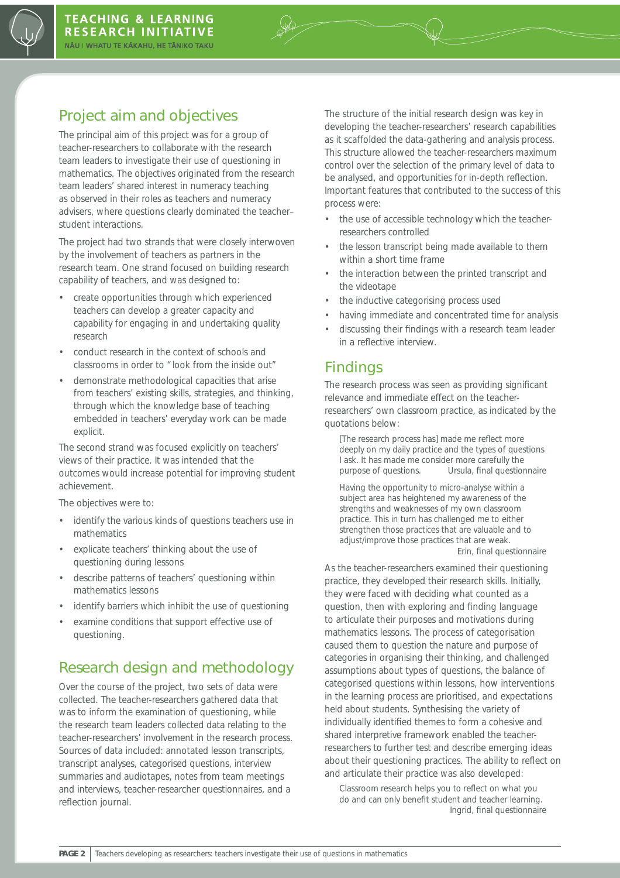

# Project aim and objectives

The principal aim of this project was for a group of teacher-researchers to collaborate with the research team leaders to investigate their use of questioning in mathematics. The objectives originated from the research team leaders' shared interest in numeracy teaching as observed in their roles as teachers and numeracy advisers, where questions clearly dominated the teacher– student interactions.

The project had two strands that were closely interwoven by the involvement of teachers as partners in the research team. One strand focused on building research capability of teachers, and was designed to:

- create opportunities through which experienced teachers can develop a greater capacity and capability for engaging in and undertaking quality research
- conduct research in the context of schools and classrooms in order to "look from the inside out"
- demonstrate methodological capacities that arise from teachers' existing skills, strategies, and thinking, through which the knowledge base of teaching embedded in teachers' everyday work can be made explicit.

The second strand was focused explicitly on teachers' views of their practice. It was intended that the outcomes would increase potential for improving student achievement.

The objectives were to:

- identify the various kinds of questions teachers use in mathematics
- explicate teachers' thinking about the use of questioning during lessons
- describe patterns of teachers' questioning within mathematics lessons
- identify barriers which inhibit the use of questioning
- examine conditions that support effective use of questioning.

# Research design and methodology

Over the course of the project, two sets of data were collected. The teacher-researchers gathered data that was to inform the examination of questioning, while the research team leaders collected data relating to the teacher-researchers' involvement in the research process. Sources of data included: annotated lesson transcripts, transcript analyses, categorised questions, interview summaries and audiotapes, notes from team meetings and interviews, teacher-researcher questionnaires, and a reflection journal.

The structure of the initial research design was key in developing the teacher-researchers' research capabilities as it scaffolded the data-gathering and analysis process. This structure allowed the teacher-researchers maximum control over the selection of the primary level of data to be analysed, and opportunities for in-depth reflection. Important features that contributed to the success of this process were:

- the use of accessible technology which the teacherresearchers controlled
- the lesson transcript being made available to them within a short time frame
- the interaction between the printed transcript and the videotape
- the inductive categorising process used
- having immediate and concentrated time for analysis
- discussing their findings with a research team leader in a reflective interview.

# Findings

The research process was seen as providing significant relevance and immediate effect on the teacherresearchers' own classroom practice, as indicated by the quotations below:

[The research process has] made me reflect more *deeply on my daily practice and the types of questions I ask. It has made me consider more carefully the purpose of questions.* Ursula, final questionnaire

*Having the opportunity to micro-analyse within a subject area has heightened my awareness of the strengths and weaknesses of my own classroom practice. This in turn has challenged me to either strengthen those practices that are valuable and to adjust/improve those practices that are weak.* Erin, final questionnaire

As the teacher-researchers examined their questioning practice, they developed their research skills. Initially, they were faced with deciding what counted as a question, then with exploring and finding language to articulate their purposes and motivations during mathematics lessons. The process of categorisation caused them to question the nature and purpose of categories in organising their thinking, and challenged assumptions about types of questions, the balance of categorised questions within lessons, how interventions in the learning process are prioritised, and expectations held about students. Synthesising the variety of individually identified themes to form a cohesive and shared interpretive framework enabled the teacherresearchers to further test and describe emerging ideas about their questioning practices. The ability to reflect on and articulate their practice was also developed:

*Classroom research helps you to reflect on what you* do and can only benefit student and teacher learning. Ingrid, final questionnaire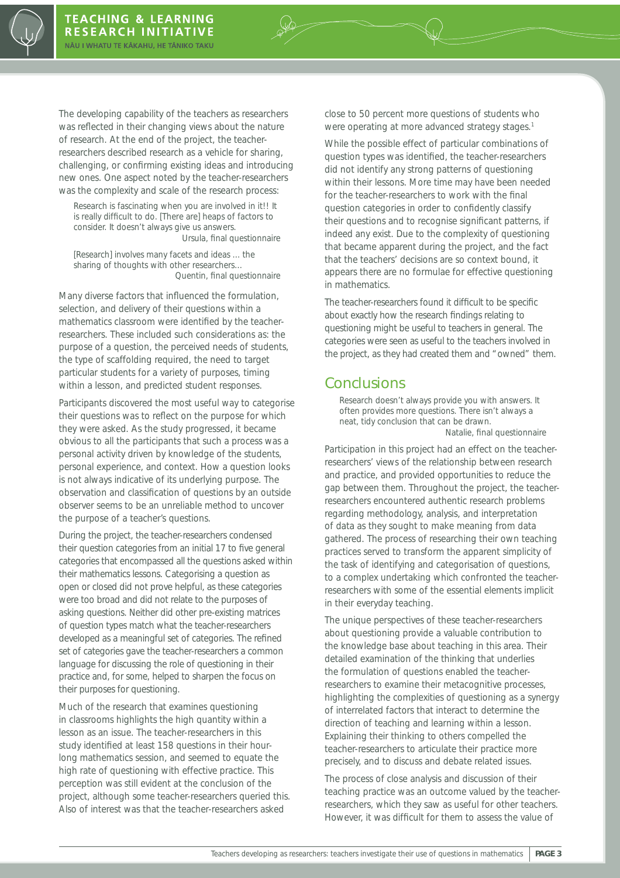The developing capability of the teachers as researchers was reflected in their changing views about the nature of research. At the end of the project, the teacherresearchers described research as a vehicle for sharing, challenging, or confirming existing ideas and introducing new ones. One aspect noted by the teacher-researchers was the complexity and scale of the research process:

*Research is fascinating when you are involved in it!! It is really difficult to do. [There are] heaps of factors to consider. It doesn't always give us answers.* Ursula, final questionnaire

*[Research] involves many facets and ideas ... the sharing of thoughts with other researchers…* Quentin, final questionnaire

Many diverse factors that influenced the formulation. selection, and delivery of their questions within a mathematics classroom were identified by the teacherresearchers. These included such considerations as: the purpose of a question, the perceived needs of students, the type of scaffolding required, the need to target particular students for a variety of purposes, timing within a lesson, and predicted student responses.

Participants discovered the most useful way to categorise their questions was to reflect on the purpose for which they were asked. As the study progressed, it became obvious to all the participants that such a process was a personal activity driven by knowledge of the students, personal experience, and context. How a question looks is not always indicative of its underlying purpose. The observation and classification of questions by an outside observer seems to be an unreliable method to uncover the purpose of a teacher's questions.

During the project, the teacher-researchers condensed their question categories from an initial 17 to five general categories that encompassed all the questions asked within their mathematics lessons. Categorising a question as open or closed did not prove helpful, as these categories were too broad and did not relate to the purposes of asking questions. Neither did other pre-existing matrices of question types match what the teacher-researchers developed as a meaningful set of categories. The refined set of categories gave the teacher-researchers a common language for discussing the role of questioning in their practice and, for some, helped to sharpen the focus on their purposes for questioning.

Much of the research that examines questioning in classrooms highlights the high quantity within a lesson as an issue. The teacher-researchers in this study identified at least 158 questions in their hourlong mathematics session, and seemed to equate the high rate of questioning with effective practice. This perception was still evident at the conclusion of the project, although some teacher-researchers queried this. Also of interest was that the teacher-researchers asked

close to 50 percent more questions of students who were operating at more advanced strategy stages.<sup>1</sup>

While the possible effect of particular combinations of question types was identified, the teacher-researchers did not identify any strong patterns of questioning within their lessons. More time may have been needed for the teacher-researchers to work with the final question categories in order to confidently classify their questions and to recognise significant patterns, if indeed any exist. Due to the complexity of questioning that became apparent during the project, and the fact that the teachers' decisions are so context bound, it appears there are no formulae for effective questioning in mathematics.

The teacher-researchers found it difficult to be specific about exactly how the research findings relating to questioning might be useful to teachers in general. The categories were seen as useful to the teachers involved in the project, as they had created them and "owned" them.

#### **Conclusions**

*Research doesn't always provide you with answers. It often provides more questions. There isn't always a neat, tidy conclusion that can be drawn.* Natalie, final questionnaire

Participation in this project had an effect on the teacherresearchers' views of the relationship between research and practice, and provided opportunities to reduce the gap between them. Throughout the project, the teacherresearchers encountered authentic research problems regarding methodology, analysis, and interpretation of data as they sought to make meaning from data gathered. The process of researching their own teaching practices served to transform the apparent simplicity of the task of identifying and categorisation of questions, to a complex undertaking which confronted the teacherresearchers with some of the essential elements implicit in their everyday teaching.

The unique perspectives of these teacher-researchers about questioning provide a valuable contribution to the knowledge base about teaching in this area. Their detailed examination of the thinking that underlies the formulation of questions enabled the teacherresearchers to examine their metacognitive processes, highlighting the complexities of questioning as a synergy of interrelated factors that interact to determine the direction of teaching and learning within a lesson. Explaining their thinking to others compelled the teacher-researchers to articulate their practice more precisely, and to discuss and debate related issues.

The process of close analysis and discussion of their teaching practice was an outcome valued by the teacherresearchers, which they saw as useful for other teachers. However, it was difficult for them to assess the value of